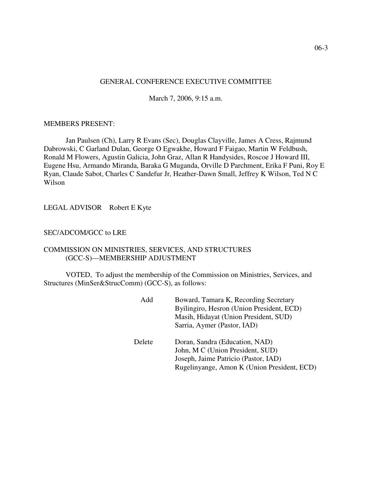# GENERAL CONFERENCE EXECUTIVE COMMITTEE

March 7, 2006, 9:15 a.m.

#### MEMBERS PRESENT:

Jan Paulsen (Ch), Larry R Evans (Sec), Douglas Clayville, James A Cress, Rajmund Dabrowski, C Garland Dulan, George O Egwakhe, Howard F Faigao, Martin W Feldbush, Ronald M Flowers, Agustin Galicia, John Graz, Allan R Handysides, Roscoe J Howard III, Eugene Hsu, Armando Miranda, Baraka G Muganda, Orville D Parchment, Erika F Puni, Roy E Ryan, Claude Sabot, Charles C Sandefur Jr, Heather-Dawn Small, Jeffrey K Wilson, Ted N C Wilson

LEGAL ADVISOR Robert E Kyte

#### SEC/ADCOM/GCC to LRE

# COMMISSION ON MINISTRIES, SERVICES, AND STRUCTURES (GCC-S)—MEMBERSHIP ADJUSTMENT

VOTED, To adjust the membership of the Commission on Ministries, Services, and Structures (MinSer&StrucComm) (GCC-S), as follows:

| Add    | Boward, Tamara K, Recording Secretary<br>Byilingiro, Hesron (Union President, ECD)<br>Masih, Hidayat (Union President, SUD)<br>Sarria, Aymer (Pastor, IAD) |
|--------|------------------------------------------------------------------------------------------------------------------------------------------------------------|
| Delete | Doran, Sandra (Education, NAD)<br>John, M C (Union President, SUD)<br>Joseph, Jaime Patricio (Pastor, IAD)<br>Rugelinyange, Amon K (Union President, ECD)  |